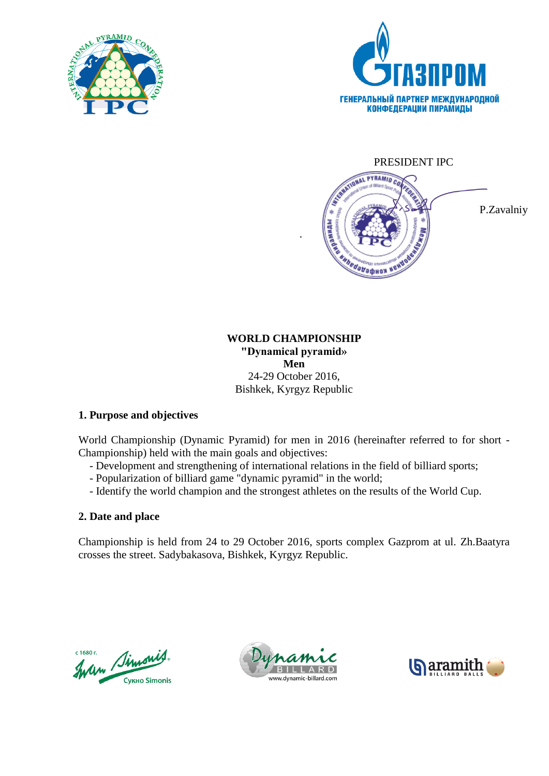





P.Zavalniy

# **WORLD CHAMPIONSHIP "Dynamical pyramid» Men** 24-29 October 2016, Bishkek, Kyrgyz Republic

.

# **1. Purpose and objectives**

World Championship (Dynamic Pyramid) for men in 2016 (hereinafter referred to for short - Championship) held with the main goals and objectives:

- Development and strengthening of international relations in the field of billiard sports;
- Popularization of billiard game "dynamic pyramid" in the world;
- Identify the world champion and the strongest athletes on the results of the World Cup.

# **2. Date and place**

Championship is held from 24 to 29 October 2016, sports complex Gazprom at ul. Zh.Baatyra crosses the street. Sadybakasova, Bishkek, Kyrgyz Republic.

Indem Simonis с 1680 г. **Сукно Simonis** 



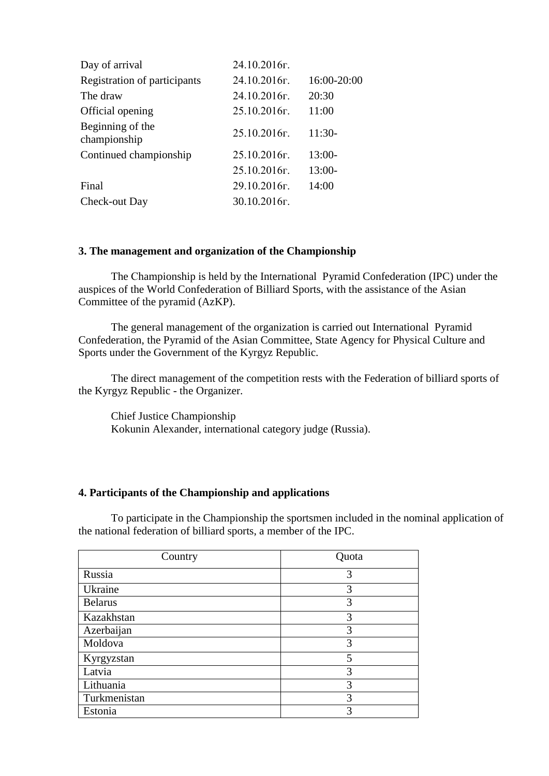| Day of arrival                   | 24.10.2016г.    |             |
|----------------------------------|-----------------|-------------|
| Registration of participants     | 24.10.2016г.    | 16:00-20:00 |
| The draw                         | 24.10.2016г.    | 20:30       |
| Official opening                 | 25.10.2016г.    | 11:00       |
| Beginning of the<br>championship | 25.10.2016г.    | $11:30-$    |
| Continued championship           | 25.10.2016r.    | $13:00-$    |
|                                  | 25.10.2016г.    | $13:00-$    |
| Final                            | 29.10.2016г.    | 14:00       |
| Check-out Day                    | $30.10.2016$ F. |             |

### **3. The management and organization of the Championship**

The Сhampionship is held by the International Pyramid Confederation (IPC) under the auspices of the World Confederation of Billiard Sports, with the assistance of the Asian Committee of the pyramid (AzKP).

The general management of the organization is carried out International Pyramid Confederation, the Pyramid of the Asian Committee, State Agency for Physical Culture and Sports under the Government of the Kyrgyz Republic.

The direct management of the competition rests with the Federation of billiard sports of the Kyrgyz Republic - the Organizer.

Chief Justice Championship Kokunin Alexander, international category judge (Russia).

### **4. Participants of the Championship and applications**

To participate in the Championship the sportsmen included in the nominal application of the national federation of billiard sports, a member of the IPC.

| Country        | Quota |
|----------------|-------|
| Russia         | 3     |
| Ukraine        | 3     |
| <b>Belarus</b> | 3     |
| Kazakhstan     | 3     |
| Azerbaijan     | 3     |
| Moldova        | 3     |
| Kyrgyzstan     | 5     |
| Latvia         | 3     |
| Lithuania      | 3     |
| Turkmenistan   | 3     |
| Estonia        | 3     |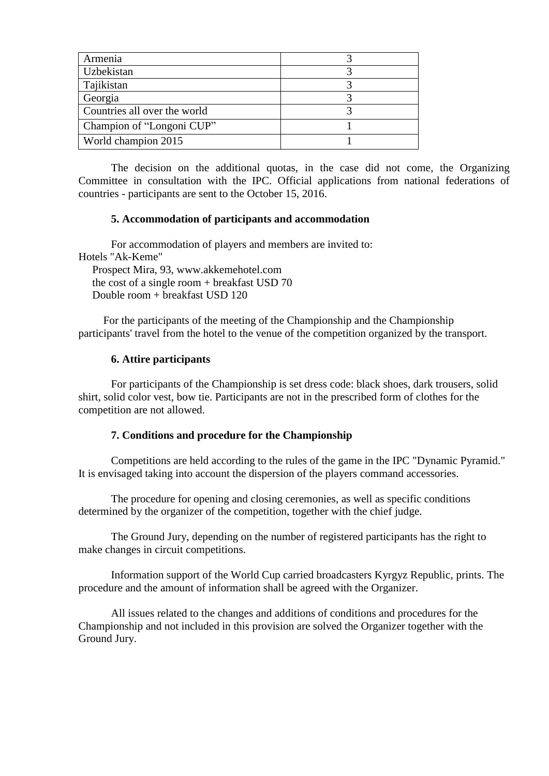| Armenia                      |  |
|------------------------------|--|
| Uzbekistan                   |  |
| Tajikistan                   |  |
| Georgia                      |  |
| Countries all over the world |  |
| Champion of "Longoni CUP"    |  |
| World champion 2015          |  |

The decision on the additional quotas, in the case did not come, the Organizing Committee in consultation with the IPC. Official applications from national federations of countries - participants are sent to the October 15, 2016.

#### **5. Accommodation of participants and accommodation**

For accommodation of players and members are invited to: Hotels "Ak-Keme" Prospect Mira, 93, www.akkemehotel.com

 the cost of a single room + breakfast USD 70 Double room + breakfast USD 120

 For the participants of the meeting of the Championship and the Championship participants' travel from the hotel to the venue of the competition organized by the transport.

#### **6. Attire participants**

For participants of the Championship is set dress code: black shoes, dark trousers, solid shirt, solid color vest, bow tie. Participants are not in the prescribed form of clothes for the competition are not allowed.

#### **7. Conditions and procedure for the Championship**

Competitions are held according to the rules of the game in the IPC "Dynamic Pyramid." It is envisaged taking into account the dispersion of the players command accessories.

The procedure for opening and closing ceremonies, as well as specific conditions determined by the organizer of the competition, together with the chief judge.

The Ground Jury, depending on the number of registered participants has the right to make changes in circuit competitions.

Information support of the World Cup carried broadcasters Kyrgyz Republic, prints. The procedure and the amount of information shall be agreed with the Organizer.

All issues related to the changes and additions of conditions and procedures for the Championship and not included in this provision are solved the Organizer together with the Ground Jury.